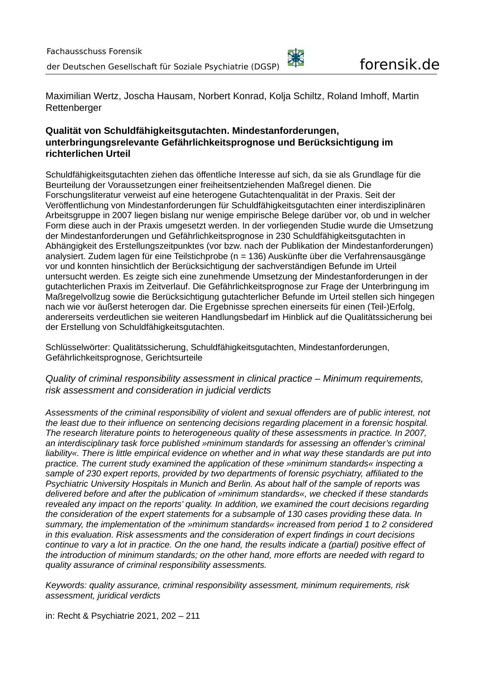

Maximilian Wertz, Joscha Hausam, Norbert Konrad, Kolja Schiltz, Roland Imhoff, Martin **Rettenberger** 

# **Qualität von Schuldfähigkeitsgutachten. Mindestanforderungen, unterbringungsrelevante Gefährlichkeitsprognose und Berücksichtigung im richterlichen Urteil**

Schuldfähigkeitsgutachten ziehen das öffentliche Interesse auf sich, da sie als Grundlage für die Beurteilung der Voraussetzungen einer freiheitsentziehenden Maßregel dienen. Die Forschungsliteratur verweist auf eine heterogene Gutachtenqualität in der Praxis. Seit der Veröffentlichung von Mindestanforderungen für Schuldfähigkeitsgutachten einer interdisziplinären Arbeitsgruppe in 2007 liegen bislang nur wenige empirische Belege darüber vor, ob und in welcher Form diese auch in der Praxis umgesetzt werden. In der vorliegenden Studie wurde die Umsetzung der Mindestanforderungen und Gefährlichkeitsprognose in 230 Schuldfähigkeitsgutachten in Abhängigkeit des Erstellungszeitpunktes (vor bzw. nach der Publikation der Mindestanforderungen) analysiert. Zudem lagen für eine Teilstichprobe (n = 136) Auskünfte über die Verfahrensausgänge vor und konnten hinsichtlich der Berücksichtigung der sachverständigen Befunde im Urteil untersucht werden. Es zeigte sich eine zunehmende Umsetzung der Mindestanforderungen in der gutachterlichen Praxis im Zeitverlauf. Die Gefährlichkeitsprognose zur Frage der Unterbringung im Maßregelvollzug sowie die Berücksichtigung gutachterlicher Befunde im Urteil stellen sich hingegen nach wie vor äußerst heterogen dar. Die Ergebnisse sprechen einerseits für einen (Teil-)Erfolg, andererseits verdeutlichen sie weiteren Handlungsbedarf im Hinblick auf die Qualitätssicherung bei der Erstellung von Schuldfähigkeitsgutachten.

Schlüsselwörter: Qualitätssicherung, Schuldfähigkeitsgutachten, Mindestanforderungen, Gefährlichkeitsprognose, Gerichtsurteile

*Quality of criminal responsibility assessment in clinical practice – Minimum requirements, risk assessment and consideration in judicial verdicts*

*Assessments of the criminal responsibility of violent and sexual offenders are of public interest, not the least due to their influence on sentencing decisions regarding placement in a forensic hospital. The research literature points to heterogeneous quality of these assessments in practice. In 2007, an interdisciplinary task force published »minimum standards for assessing an offender's criminal liability«. There is little empirical evidence on whether and in what way these standards are put into practice. The current study examined the application of these »minimum standards« inspecting a sample of 230 expert reports, provided by two departments of forensic psychiatry, affiliated to the Psychiatric University Hospitals in Munich and Berlin. As about half of the sample of reports was delivered before and after the publication of »minimum standards«, we checked if these standards revealed any impact on the reports' quality. In addition, we examined the court decisions regarding the consideration of the expert statements for a subsample of 130 cases providing these data. In summary, the implementation of the »minimum standards« increased from period 1 to 2 considered in this evaluation. Risk assessments and the consideration of expert findings in court decisions continue to vary a lot in practice. On the one hand, the results indicate a (partial) positive effect of the introduction of minimum standards; on the other hand, more efforts are needed with regard to quality assurance of criminal responsibility assessments.*

*Keywords: quality assurance, criminal responsibility assessment, minimum requirements, risk assessment, juridical verdicts*

in: Recht & Psychiatrie 2021, 202 – 211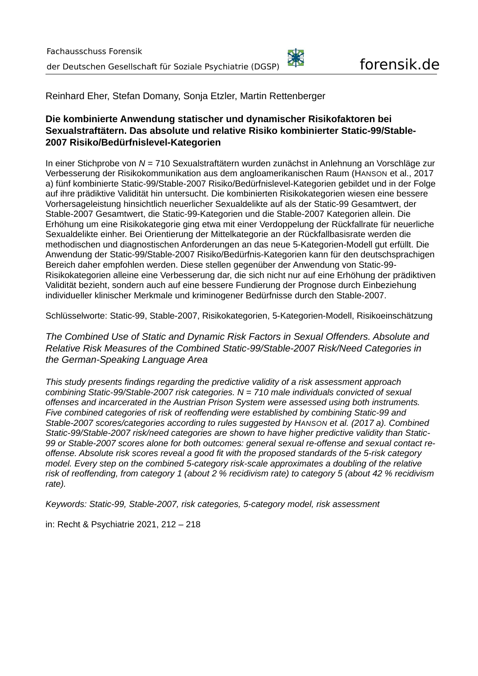Reinhard Eher, Stefan Domany, Sonja Etzler, Martin Rettenberger

# **Die kombinierte Anwendung statischer und dynamischer Risikofaktoren bei Sexualstraftätern. Das absolute und relative Risiko kombinierter Static-99/Stable-2007 Risiko/Bedürfnislevel-Kategorien**

In einer Stichprobe von *N* = 710 Sexualstraftätern wurden zunächst in Anlehnung an Vorschläge zur Verbesserung der Risikokommunikation aus dem angloamerikanischen Raum (HANSON et al., 2017  a) fünf kombinierte Static-99/Stable-2007 Risiko/Bedürfnislevel-Kategorien gebildet und in der Folge auf ihre prädiktive Validität hin untersucht. Die kombinierten Risikokategorien wiesen eine bessere Vorhersageleistung hinsichtlich neuerlicher Sexualdelikte auf als der Static-99 Gesamtwert, der Stable-2007 Gesamtwert, die Static-99-Kategorien und die Stable-2007 Kategorien allein. Die Erhöhung um eine Risikokategorie ging etwa mit einer Verdoppelung der Rückfallrate für neuerliche Sexualdelikte einher. Bei Orientierung der Mittelkategorie an der Rückfallbasisrate werden die methodischen und diagnostischen Anforderungen an das neue 5-Kategorien-Modell gut erfüllt. Die Anwendung der Static-99/Stable-2007 Risiko/Bedürfnis-Kategorien kann für den deutschsprachigen Bereich daher empfohlen werden. Diese stellen gegenüber der Anwendung von Static-99- Risikokategorien alleine eine Verbesserung dar, die sich nicht nur auf eine Erhöhung der prädiktiven Validität bezieht, sondern auch auf eine bessere Fundierung der Prognose durch Einbeziehung individueller klinischer Merkmale und kriminogener Bedürfnisse durch den Stable-2007.

Schlüsselworte: Static-99, Stable-2007, Risikokategorien, 5-Kategorien-Modell, Risikoeinschätzung

*The Combined Use of Static and Dynamic Risk Factors in Sexual Offenders. Absolute and Relative Risk Measures of the Combined Static-99/Stable-2007 Risk/Need Categories in the German-Speaking Language Area*

*This study presents findings regarding the predictive validity of a risk assessment approach combining Static-99/Stable-2007 risk categories. N = 710 male individuals convicted of sexual offenses and incarcerated in the Austrian Prison System were assessed using both instruments. Five combined categories of risk of reoffending were established by combining Static-99 and Stable-2007 scores/categories according to rules suggested by HANSON et al. (2017 a). Combined Static-99/Stable-2007 risk/need categories are shown to have higher predictive validity than Static-99 or Stable-2007 scores alone for both outcomes: general sexual re-offense and sexual contact reoffense. Absolute risk scores reveal a good fit with the proposed standards of the 5-risk category model. Every step on the combined 5-category risk-scale approximates a doubling of the relative risk of reoffending, from category 1 (about 2 % recidivism rate) to category 5 (about 42 % recidivism rate).*

*Keywords: Static-99, Stable-2007, risk categories, 5-category model, risk assessment*

in: Recht & Psychiatrie 2021, 212 – 218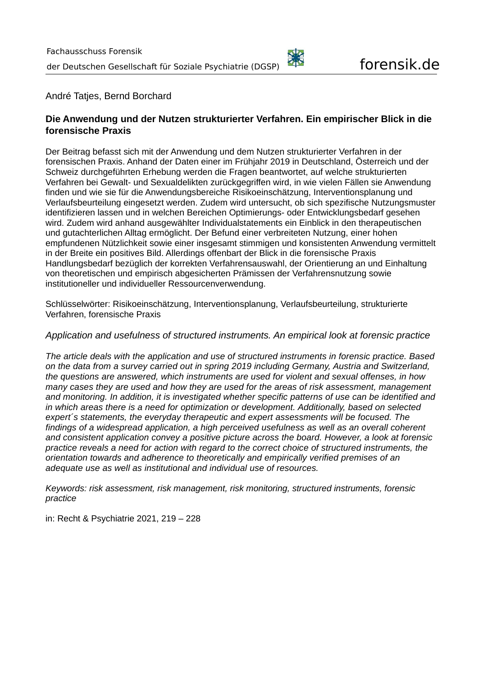#### André Tatjes, Bernd Borchard

## **Die Anwendung und der Nutzen strukturierter Verfahren. Ein empirischer Blick in die forensische Praxis**

Der Beitrag befasst sich mit der Anwendung und dem Nutzen strukturierter Verfahren in der forensischen Praxis. Anhand der Daten einer im Frühjahr 2019 in Deutschland, Österreich und der Schweiz durchgeführten Erhebung werden die Fragen beantwortet, auf welche strukturierten Verfahren bei Gewalt- und Sexualdelikten zurückgegriffen wird, in wie vielen Fällen sie Anwendung finden und wie sie für die Anwendungsbereiche Risikoeinschätzung, Interventionsplanung und Verlaufsbeurteilung eingesetzt werden. Zudem wird untersucht, ob sich spezifische Nutzungsmuster identifizieren lassen und in welchen Bereichen Optimierungs- oder Entwicklungsbedarf gesehen wird. Zudem wird anhand ausgewählter Individualstatements ein Einblick in den therapeutischen und gutachterlichen Alltag ermöglicht. Der Befund einer verbreiteten Nutzung, einer hohen empfundenen Nützlichkeit sowie einer insgesamt stimmigen und konsistenten Anwendung vermittelt in der Breite ein positives Bild. Allerdings offenbart der Blick in die forensische Praxis Handlungsbedarf bezüglich der korrekten Verfahrensauswahl, der Orientierung an und Einhaltung von theoretischen und empirisch abgesicherten Prämissen der Verfahrensnutzung sowie institutioneller und individueller Ressourcenverwendung.

Schlüsselwörter: Risikoeinschätzung, Interventionsplanung, Verlaufsbeurteilung, strukturierte Verfahren, forensische Praxis

#### *Application and usefulness of structured instruments. An empirical look at forensic practice*

*The article deals with the application and use of structured instruments in forensic practice. Based on the data from a survey carried out in spring 2019 including Germany, Austria and Switzerland, the questions are answered, which instruments are used for violent and sexual offenses, in how many cases they are used and how they are used for the areas of risk assessment, management and monitoring. In addition, it is investigated whether specific patterns of use can be identified and in which areas there is a need for optimization or development. Additionally, based on selected expert´s statements, the everyday therapeutic and expert assessments will be focused. The findings of a widespread application, a high perceived usefulness as well as an overall coherent and consistent application convey a positive picture across the board. However, a look at forensic practice reveals a need for action with regard to the correct choice of structured instruments, the orientation towards and adherence to theoretically and empirically verified premises of an adequate use as well as institutional and individual use of resources.*

*Keywords: risk assessment, risk management, risk monitoring, structured instruments, forensic practice*

in: Recht & Psychiatrie 2021, 219 – 228